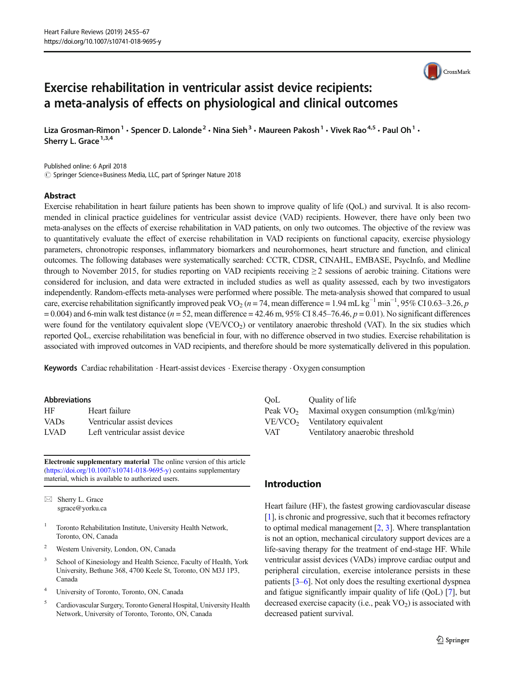

# Exercise rehabilitation in ventricular assist device recipients: a meta-analysis of effects on physiological and clinical outcomes

Liza Grosman-Rimon<sup>1</sup> • Spencer D. Lalonde<sup>2</sup> • Nina Sieh<sup>3</sup> • Maureen Pakosh<sup>1</sup> • Vivek Rao<sup>4,5</sup> • Paul Oh<sup>1</sup> • Sherry L. Grace<sup>1,3,4</sup>

© Springer Science+Business Media, LLC, part of Springer Nature 2018 Published online: 6 April 2018

#### Abstract

Exercise rehabilitation in heart failure patients has been shown to improve quality of life (QoL) and survival. It is also recommended in clinical practice guidelines for ventricular assist device (VAD) recipients. However, there have only been two meta-analyses on the effects of exercise rehabilitation in VAD patients, on only two outcomes. The objective of the review was to quantitatively evaluate the effect of exercise rehabilitation in VAD recipients on functional capacity, exercise physiology parameters, chronotropic responses, inflammatory biomarkers and neurohormones, heart structure and function, and clinical outcomes. The following databases were systematically searched: CCTR, CDSR, CINAHL, EMBASE, PsycInfo, and Medline through to November 2015, for studies reporting on VAD recipients receiving  $\geq 2$  sessions of aerobic training. Citations were considered for inclusion, and data were extracted in included studies as well as quality assessed, each by two investigators independently. Random-effects meta-analyses were performed where possible. The meta-analysis showed that compared to usual care, exercise rehabilitation significantly improved peak VO<sub>2</sub> (*n* = 74, mean difference = 1.94 mL kg<sup>-1</sup> min<sup>-1</sup>, 95% CI 0.63–3.26, *p*  $= 0.004$ ) and 6-min walk test distance ( $n = 52$ , mean difference  $= 42.46$  m, 95% CI 8.45–76.46,  $p = 0.01$ ). No significant differences were found for the ventilatory equivalent slope  $(VE/VCO<sub>2</sub>)$  or ventilatory anaerobic threshold (VAT). In the six studies which reported QoL, exercise rehabilitation was beneficial in four, with no difference observed in two studies. Exercise rehabilitation is associated with improved outcomes in VAD recipients, and therefore should be more systematically delivered in this population.

**Keywords** Cardiac rehabilitation  $\cdot$  Heart-assist devices  $\cdot$  Exercise therapy  $\cdot$  Oxygen consumption

#### Abbreviations

| ΗF          | Heart failure                  |
|-------------|--------------------------------|
| <b>VADs</b> | Ventricular assist devices     |
| <b>LVAD</b> | Left ventricular assist device |

Electronic supplementary material The online version of this article (<https://doi.org/10.1007/s10741-018-9695-y>) contains supplementary material, which is available to authorized users.

 $\boxtimes$  Sherry L. Grace [sgrace@yorku.ca](mailto:sgrace@yorku.ca)

- <sup>1</sup> Toronto Rehabilitation Institute, University Health Network, Toronto, ON, Canada
- <sup>2</sup> Western University, London, ON, Canada
- School of Kinesiology and Health Science, Faculty of Health, York University, Bethune 368, 4700 Keele St, Toronto, ON M3J 1P3, Canada
- <sup>4</sup> University of Toronto, Toronto, ON, Canada
- <sup>5</sup> Cardiovascular Surgery, Toronto General Hospital, University Health Network, University of Toronto, Toronto, ON, Canada

| OoL                  | Quality of life                        |
|----------------------|----------------------------------------|
| Peak VO <sub>2</sub> | Maximal oxygen consumption (ml/kg/min) |
| VE/VCO <sub>2</sub>  | Ventilatory equivalent                 |
| VAT                  | Ventilatory anaerobic threshold        |

# Introduction

Heart failure (HF), the fastest growing cardiovascular disease [\[1](#page-10-0)], is chronic and progressive, such that it becomes refractory to optimal medical management [\[2](#page-11-0), [3\]](#page-11-0). Where transplantation is not an option, mechanical circulatory support devices are a life-saving therapy for the treatment of end-stage HF. While ventricular assist devices (VADs) improve cardiac output and peripheral circulation, exercise intolerance persists in these patients [[3](#page-11-0)–[6](#page-11-0)]. Not only does the resulting exertional dyspnea and fatigue significantly impair quality of life (QoL) [\[7](#page-11-0)], but decreased exercise capacity (i.e., peak  $VO<sub>2</sub>$ ) is associated with decreased patient survival.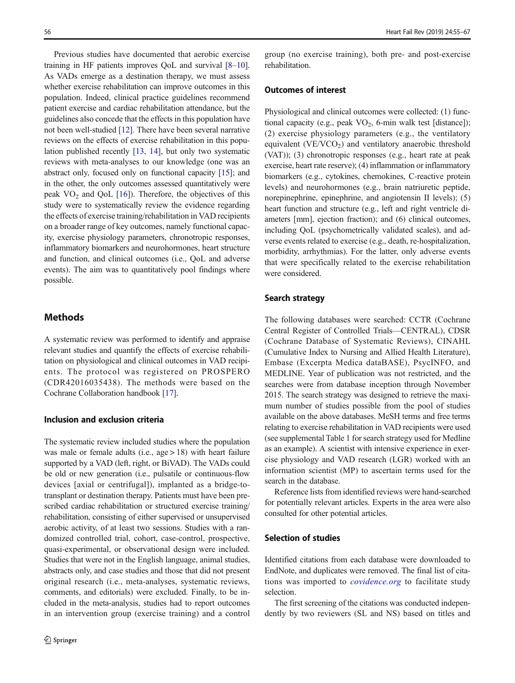Previous studies have documented that aerobic exercise training in HF patients improves QoL and survival [[8](#page-11-0)–[10](#page-11-0)]. As VADs emerge as a destination therapy, we must assess whether exercise rehabilitation can improve outcomes in this population. Indeed, clinical practice guidelines recommend patient exercise and cardiac rehabilitation attendance, but the guidelines also concede that the effects in this population have not been well-studied [\[12](#page-11-0)]. There have been several narrative reviews on the effects of exercise rehabilitation in this population published recently [[13,](#page-11-0) [14\]](#page-11-0), but only two systematic reviews with meta-analyses to our knowledge (one was an abstract only, focused only on functional capacity [[15\]](#page-11-0); and in the other, the only outcomes assessed quantitatively were peak  $VO<sub>2</sub>$  and QoL  $[16]$  $[16]$ ). Therefore, the objectives of this study were to systematically review the evidence regarding the effects of exercise training/rehabilitation in VAD recipients on a broader range of key outcomes, namely functional capacity, exercise physiology parameters, chronotropic responses, inflammatory biomarkers and neurohormones, heart structure and function, and clinical outcomes (i.e., QoL and adverse events). The aim was to quantitatively pool findings where possible.

# **Methods**

A systematic review was performed to identify and appraise relevant studies and quantify the effects of exercise rehabilitation on physiological and clinical outcomes in VAD recipients. The protocol was registered on PROSPERO (CDR42016035438). The methods were based on the Cochrane Collaboration handbook [\[17\]](#page-11-0).

## Inclusion and exclusion criteria

The systematic review included studies where the population was male or female adults (i.e.,  $age > 18$ ) with heart failure supported by a VAD (left, right, or BiVAD). The VADs could be old or new generation (i.e., pulsatile or continuous-flow devices [axial or centrifugal]), implanted as a bridge-totransplant or destination therapy. Patients must have been prescribed cardiac rehabilitation or structured exercise training/ rehabilitation, consisting of either supervised or unsupervised aerobic activity, of at least two sessions. Studies with a randomized controlled trial, cohort, case-control, prospective, quasi-experimental, or observational design were included. Studies that were not in the English language, animal studies, abstracts only, and case studies and those that did not present original research (i.e., meta-analyses, systematic reviews, comments, and editorials) were excluded. Finally, to be included in the meta-analysis, studies had to report outcomes in an intervention group (exercise training) and a control group (no exercise training), both pre- and post-exercise rehabilitation.

## Outcomes of interest

Physiological and clinical outcomes were collected: (1) functional capacity (e.g., peak  $VO<sub>2</sub>$ , 6-min walk test [distance]); (2) exercise physiology parameters (e.g., the ventilatory equivalent ( $VE/VCO<sub>2</sub>$ ) and ventilatory anaerobic threshold (VAT)); (3) chronotropic responses (e.g., heart rate at peak exercise, heart rate reserve); (4) inflammation or inflammatory biomarkers (e.g., cytokines, chemokines, C-reactive protein levels) and neurohormones (e.g., brain natriuretic peptide, norepinephrine, epinephrine, and angiotensin II levels); (5) heart function and structure (e.g., left and right ventricle diameters [mm], ejection fraction); and (6) clinical outcomes, including QoL (psychometrically validated scales), and adverse events related to exercise (e.g., death, re-hospitalization, morbidity, arrhythmias). For the latter, only adverse events that were specifically related to the exercise rehabilitation were considered.

## Search strategy

The following databases were searched: CCTR (Cochrane Central Register of Controlled Trials—CENTRAL), CDSR (Cochrane Database of Systematic Reviews), CINAHL (Cumulative Index to Nursing and Allied Health Literature), Embase (Excerpta Medica dataBASE), PsycINFO, and MEDLINE. Year of publication was not restricted, and the searches were from database inception through November 2015. The search strategy was designed to retrieve the maximum number of studies possible from the pool of studies available on the above databases. MeSH terms and free terms relating to exercise rehabilitation in VAD recipients were used (see supplemental Table 1 for search strategy used for Medline as an example). A scientist with intensive experience in exercise physiology and VAD research (LGR) worked with an information scientist (MP) to ascertain terms used for the search in the database.

Reference lists from identified reviews were hand-searched for potentially relevant articles. Experts in the area were also consulted for other potential articles.

## Selection of studies

Identified citations from each database were downloaded to EndNote, and duplicates were removed. The final list of citations was imported to *[covidence.org](http://covidence.org)* to facilitate study selection.

The first screening of the citations was conducted independently by two reviewers (SL and NS) based on titles and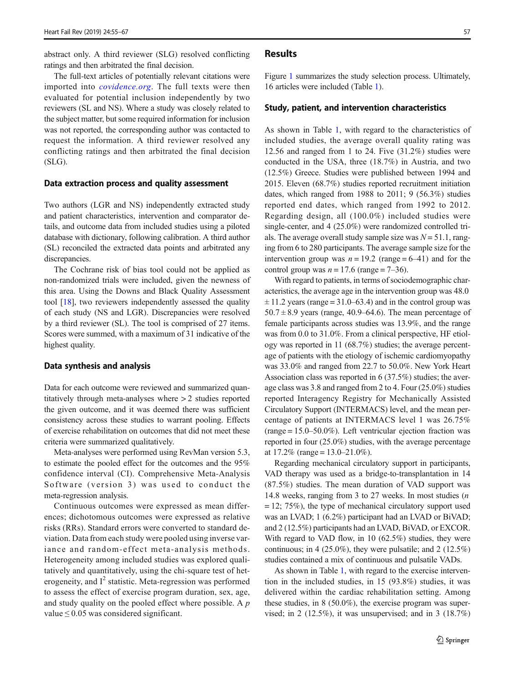abstract only. A third reviewer (SLG) resolved conflicting ratings and then arbitrated the final decision.

The full-text articles of potentially relevant citations were imported into *[covidence.org](http://covidence.org)*. The full texts were then evaluated for potential inclusion independently by two reviewers (SL and NS). Where a study was closely related to the subject matter, but some required information for inclusion was not reported, the corresponding author was contacted to request the information. A third reviewer resolved any conflicting ratings and then arbitrated the final decision (SLG).

### Data extraction process and quality assessment

Two authors (LGR and NS) independently extracted study and patient characteristics, intervention and comparator details, and outcome data from included studies using a piloted database with dictionary, following calibration. A third author (SL) reconciled the extracted data points and arbitrated any discrepancies.

The Cochrane risk of bias tool could not be applied as non-randomized trials were included, given the newness of this area. Using the Downs and Black Quality Assessment tool [\[18\]](#page-11-0), two reviewers independently assessed the quality of each study (NS and LGR). Discrepancies were resolved by a third reviewer (SL). The tool is comprised of 27 items. Scores were summed, with a maximum of 31 indicative of the highest quality.

#### Data synthesis and analysis

Data for each outcome were reviewed and summarized quantitatively through meta-analyses where > 2 studies reported the given outcome, and it was deemed there was sufficient consistency across these studies to warrant pooling. Effects of exercise rehabilitation on outcomes that did not meet these criteria were summarized qualitatively.

Meta-analyses were performed using RevMan version 5.3, to estimate the pooled effect for the outcomes and the 95% confidence interval (CI). Comprehensive Meta-Analysis Software (version 3) was used to conduct the meta-regression analysis.

Continuous outcomes were expressed as mean differences; dichotomous outcomes were expressed as relative risks (RRs). Standard errors were converted to standard deviation. Data from each study were pooled using inverse variance and random-effect meta-analysis methods. Heterogeneity among included studies was explored qualitatively and quantitatively, using the chi-square test of heterogeneity, and  $I<sup>2</sup>$  statistic. Meta-regression was performed to assess the effect of exercise program duration, sex, age, and study quality on the pooled effect where possible. A  $p$ value  $\leq 0.05$  was considered significant.

#### **Results**

Figure [1](#page-3-0) summarizes the study selection process. Ultimately, 16 articles were included (Table [1](#page-4-0)).

#### Study, patient, and intervention characteristics

As shown in Table [1,](#page-4-0) with regard to the characteristics of included studies, the average overall quality rating was 12.56 and ranged from 1 to 24. Five (31.2%) studies were conducted in the USA, three (18.7%) in Austria, and two (12.5%) Greece. Studies were published between 1994 and 2015. Eleven (68.7%) studies reported recruitment initiation dates, which ranged from 1988 to 2011; 9 (56.3%) studies reported end dates, which ranged from 1992 to 2012. Regarding design, all (100.0%) included studies were single-center, and 4 (25.0%) were randomized controlled trials. The average overall study sample size was  $N = 51.1$ , ranging from 6 to 280 participants. The average sample size for the intervention group was  $n = 19.2$  (range = 6–41) and for the control group was  $n = 17.6$  (range = 7–36).

With regard to patients, in terms of sociodemographic characteristics, the average age in the intervention group was 48.0  $\pm$  11.2 years (range = 31.0–63.4) and in the control group was  $50.7 \pm 8.9$  years (range, 40.9–64.6). The mean percentage of female participants across studies was 13.9%, and the range was from 0.0 to 31.0%. From a clinical perspective, HF etiology was reported in 11 (68.7%) studies; the average percentage of patients with the etiology of ischemic cardiomyopathy was 33.0% and ranged from 22.7 to 50.0%. New York Heart Association class was reported in 6 (37.5%) studies; the average class was 3.8 and ranged from 2 to 4. Four (25.0%) studies reported Interagency Registry for Mechanically Assisted Circulatory Support (INTERMACS) level, and the mean percentage of patients at INTERMACS level 1 was 26.75%  $(\text{range} = 15.0 - 50.0\%)$ . Left ventricular ejection fraction was reported in four (25.0%) studies, with the average percentage at  $17.2\%$  (range =  $13.0-21.0\%$ ).

Regarding mechanical circulatory support in participants, VAD therapy was used as a bridge-to-transplantation in 14 (87.5%) studies. The mean duration of VAD support was 14.8 weeks, ranging from 3 to 27 weeks. In most studies (n  $= 12$ ; 75%), the type of mechanical circulatory support used was an LVAD; 1 (6.2%) participant had an LVAD or BiVAD; and 2 (12.5%) participants had an LVAD, BiVAD, or EXCOR. With regard to VAD flow, in 10 (62.5%) studies, they were continuous; in 4 (25.0%), they were pulsatile; and 2 (12.5%) studies contained a mix of continuous and pulsatile VADs.

As shown in Table [1](#page-4-0), with regard to the exercise intervention in the included studies, in 15 (93.8%) studies, it was delivered within the cardiac rehabilitation setting. Among these studies, in 8 (50.0%), the exercise program was supervised; in 2 (12.5%), it was unsupervised; and in 3 (18.7%)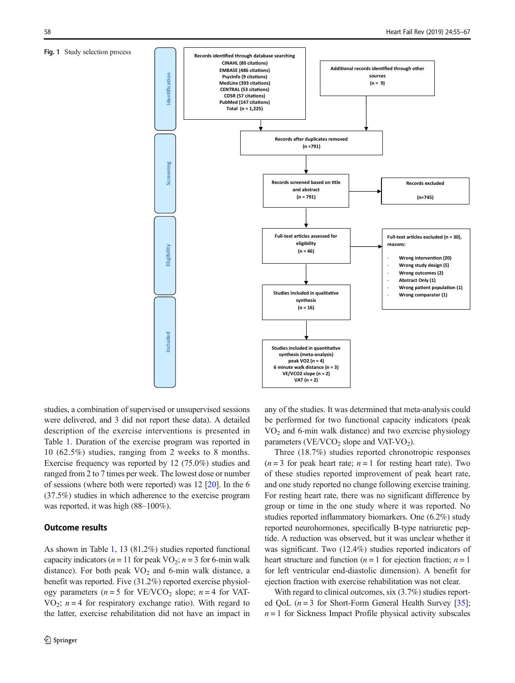<span id="page-3-0"></span>Fig. 1 Study selection process



studies, a combination of supervised or unsupervised sessions were delivered, and 3 did not report these data). A detailed description of the exercise interventions is presented in Table [1](#page-4-0). Duration of the exercise program was reported in 10 (62.5%) studies, ranging from 2 weeks to 8 months. Exercise frequency was reported by 12 (75.0%) studies and ranged from 2 to 7 times per week. The lowest dose or number of sessions (where both were reported) was 12 [\[20](#page-11-0)]. In the 6 (37.5%) studies in which adherence to the exercise program was reported, it was high (88–100%).

## Outcome results

As shown in Table [1,](#page-4-0) 13 (81.2%) studies reported functional capacity indicators ( $n = 11$  for peak VO<sub>2</sub>;  $n = 3$  for 6-min walk distance). For both peak  $VO<sub>2</sub>$  and 6-min walk distance, a benefit was reported. Five (31.2%) reported exercise physiology parameters ( $n = 5$  for VE/VCO<sub>2</sub> slope;  $n = 4$  for VAT- $VO<sub>2</sub>$ ;  $n = 4$  for respiratory exchange ratio). With regard to the latter, exercise rehabilitation did not have an impact in any of the studies. It was determined that meta-analysis could be performed for two functional capacity indicators (peak  $VO<sub>2</sub>$  and 6-min walk distance) and two exercise physiology parameters (VE/VCO<sub>2</sub> slope and VAT-VO<sub>2</sub>).

Three (18.7%) studies reported chronotropic responses  $(n=3$  for peak heart rate;  $n=1$  for resting heart rate). Two of these studies reported improvement of peak heart rate, and one study reported no change following exercise training. For resting heart rate, there was no significant difference by group or time in the one study where it was reported. No studies reported inflammatory biomarkers. One (6.2%) study reported neurohormones, specifically B-type natriuretic peptide. A reduction was observed, but it was unclear whether it was significant. Two (12.4%) studies reported indicators of heart structure and function ( $n = 1$  for ejection fraction;  $n = 1$ for left ventricular end-diastolic dimension). A benefit for ejection fraction with exercise rehabilitation was not clear.

With regard to clinical outcomes, six  $(3.7%)$  studies reported QoL ( $n = 3$  for Short-Form General Health Survey [[35](#page-12-0)];  $n = 1$  for Sickness Impact Profile physical activity subscales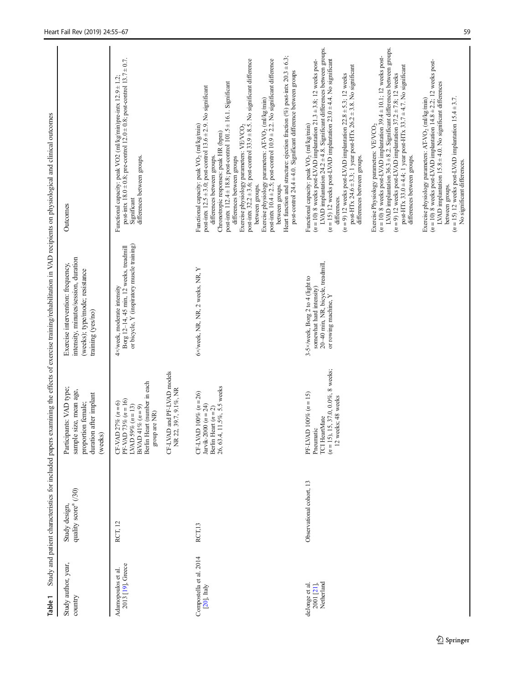<span id="page-4-0"></span>

| Table 1                                    |                                                   |                                                                                                                                             | Study and patient characteristics for included papers examining the effects of exercise training/rehabilitation in VAD recipients on physiological and clinical outcomes |                                                                                                                                                                                                                                                                                                                                                                                                                                                                                                                                                                                                                                                  |
|--------------------------------------------|---------------------------------------------------|---------------------------------------------------------------------------------------------------------------------------------------------|--------------------------------------------------------------------------------------------------------------------------------------------------------------------------|--------------------------------------------------------------------------------------------------------------------------------------------------------------------------------------------------------------------------------------------------------------------------------------------------------------------------------------------------------------------------------------------------------------------------------------------------------------------------------------------------------------------------------------------------------------------------------------------------------------------------------------------------|
| Study author, year,<br>country             | quality score <sup>a</sup> (/30)<br>Study design, | Participants: VAD type;<br>sample size, mean age,<br>after implant<br>proportion female;<br>duration<br>(weeks)                             | intensity, minutes/session, duration<br>Exercise intervention: frequency,<br>(weeks); type/mode; resistance<br>training (yes/no)                                         | Outcomes                                                                                                                                                                                                                                                                                                                                                                                                                                                                                                                                                                                                                                         |
| 2013 [19], Greece<br>Adamopoulos et al.    | RCT, 12                                           | Berlin Heart (number in each<br>PF-VAD 73% ( $n = 16$ )<br>$CF-VAD 27% (n = 6)$<br>LVAD 59% $(n=13)$<br>$BYAD 41% (n = 9)$<br>group are NR) | or bicycle, Y (inspiratory muscle training)<br>Borg 12-14, 45 min, 12 weeks, treadmill<br>4×/week, moderate intensity                                                    | post-intx 18.0 $\pm$ 0.8; pre-control 12.0 $\pm$ 0.8; post-control 13.7 $\pm$ 0.7.<br>Functional capacity: peak VO2 (ml/kg/min)pre-intx 12.9 ± 1.2:<br>differences between groups.<br>Significant                                                                                                                                                                                                                                                                                                                                                                                                                                                |
|                                            |                                                   | CF-LVAD and PF-LVAD models<br>NR 22, 39.7, 9.1%, NR                                                                                         |                                                                                                                                                                          |                                                                                                                                                                                                                                                                                                                                                                                                                                                                                                                                                                                                                                                  |
| Compostella et al. 2014<br>$[20]$ , Italy  | RCT.13                                            | 11.5%, 5.5 weeks<br>$CF-LVAD 100% (n = 26)$<br>Jarvik-2000 $(n = 24)$<br>Berlin Heart $(n = 2)$<br>26, 63.4,                                | 6×/week, NR, NR, 2 weeks, NR, Y                                                                                                                                          | Exercise physiology parameters: $VENCO2$<br>post-intx 32.2 $\pm$ 3.6; post-control 33.9 $\pm$ 8.5. No significant difference<br>post-intx $10.4 \pm 2.5$ ; post-control $10.9 \pm 2.2$ . No significant difference<br>post-intx $112.4 \pm 18.8$ ; post-control $101.5 \pm 16.1$ . Significant<br>post-intx $12.5 \pm 3.0$ ; post-control $13.6 \pm 2.9$ . No significant<br>Exercise physiology parameters: AT-VO <sub>2</sub> (ml/kg/min)<br>Functional capacity: peak VO <sub>2</sub> (ml/kg/min)<br>Chronotropic responses: peak HR (bpm)<br>differences between groups<br>differences between groups.<br>between groups.<br>between groups. |
|                                            |                                                   |                                                                                                                                             |                                                                                                                                                                          | Heart function and structure: ejection fraction (%) post-intx $20.3 \pm 6.3$ ;<br>post-control $24.4 \pm 4.0$ . Significant difference between groups                                                                                                                                                                                                                                                                                                                                                                                                                                                                                            |
| Netherland<br>deJonge et al.<br>2001 [21], | Observational cohort, 13                          | $(n = 15)$ , 15, 37.0, 0.0%, 8 weeks;<br>$PF-LVAD 100% (n = 15)$<br>12 weeks; 48 weeks<br>TCI HeartMate<br>Pneumatic                        | 20-40 min, NR, bicycle, treadmill,<br>3-5×/week, Borg 2 to 4 (light to<br>somewhat hard intensity)<br>or rowing machine, Y                                               | LVAD implantation $24.2 \pm 4.8$ . Significant differences between groups.<br>$(n = 15)$ 12 weeks post-LVAD implantation 23.0 $\pm$ 4.4. No significant<br>Functional capacity: peak VO <sub>2</sub> (ml/kg/min)<br>( $n = 10$ ) 8 weeks post-LVAD implantation 21.3 ± 3.8; 12 weeks post-<br>post-HTx 24.6 $\pm$ 3.3; 1 year post-HTx 26.2 $\pm$ 3.8. No significant<br>$(n=9)$ 12 weeks post-LVAD implantation $22.8 \pm 5.3$ ; 12 weeks<br>differences between groups.<br>differences.                                                                                                                                                        |
|                                            |                                                   |                                                                                                                                             |                                                                                                                                                                          | LVAD implantation $36.3 \pm 8.2$ . Significant differences between groups.<br>Exercise Physiology parameters: VE/VCO <sub>2</sub> $4 \pm 10.1$ ; 12 weeks post-<br>( $n = 10$ ) 8 weeks post-LVAD implantation 39.4 $\pm$ 10.1; 12 weeks post-<br>post-HTx 33.0 $\pm$ 4.4; 1 year post-HTx 33.7 $\pm$ 4.7. No significant<br>$(n=9)$ 12 weeks post-LVAD implantation 37.2 ± 7.8; 12 weeks<br>differences between groups.                                                                                                                                                                                                                         |
|                                            |                                                   |                                                                                                                                             |                                                                                                                                                                          | $(n = 10)$ 8 weeks post-LVAD implantation $14.8 \pm 2.2$ ; 12 weeks post-<br>LVAD implantation $15.8 \pm 4.0$ . No significant differences<br>between groups.<br>$(n = 15)$ 12 weeks post-LVAD implantation 15.4 ± 3.7.<br>No significant differences.<br>Exercise physiology parameters: AT-VO <sub>2</sub> (ml/kg/min)                                                                                                                                                                                                                                                                                                                         |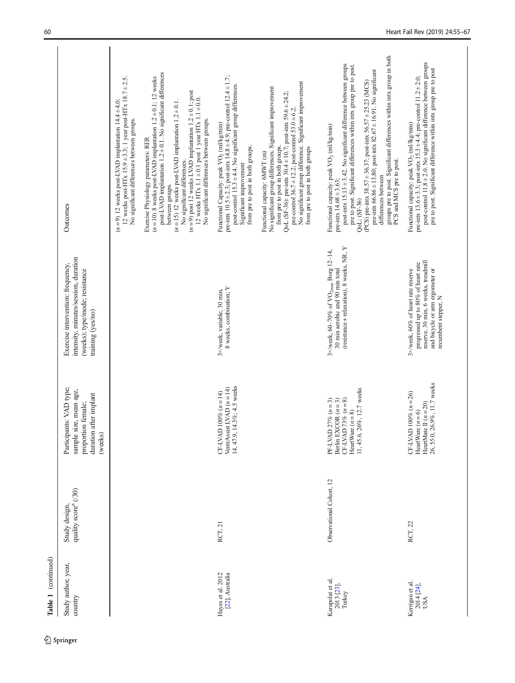| Table 1 (continued)                         |                                                   |                                                                                                                          |                                                                                                                                                                                   |                                                                                                                                                                                                                                                                                                                                                                                                                                                                                                                                 |
|---------------------------------------------|---------------------------------------------------|--------------------------------------------------------------------------------------------------------------------------|-----------------------------------------------------------------------------------------------------------------------------------------------------------------------------------|---------------------------------------------------------------------------------------------------------------------------------------------------------------------------------------------------------------------------------------------------------------------------------------------------------------------------------------------------------------------------------------------------------------------------------------------------------------------------------------------------------------------------------|
| Study author, year<br>country               | quality score <sup>a</sup> (/30)<br>Study design, | Participants: VAD type;<br>sample size, mean age,<br>duration after implant<br>proportion female;<br>(weeks)             | intensity, minutes/session, duration<br>Exercise intervention: frequency,<br>(weeks); type/mode; resistance<br>training (yes/no)                                                  | Outcomes                                                                                                                                                                                                                                                                                                                                                                                                                                                                                                                        |
|                                             |                                                   |                                                                                                                          |                                                                                                                                                                                   | 12 weeks post-HTx 15.9 $\pm$ 3.3; 1 year post-HTx 18.7 $\pm$ 2.5.<br>$(n = 9)$ 12 weeks post-LVAD implantation 14.4 $\pm$ 4.0;<br>No significant differences between groups.                                                                                                                                                                                                                                                                                                                                                    |
|                                             |                                                   |                                                                                                                          |                                                                                                                                                                                   | post-LVAD implantation 1.2 ±0.1. No significant differences<br>$(n = 10)$ 8 weeks post-LVAD implantation 1.2 $\pm$ 0.1; 12 weeks<br>$(n = 9)$ post 12 weeks LVAD implantation 1.2 $\pm$ 0.1; post<br>12 weeks HTx 1.1 $\pm$ 0.1 post 1 year HTx 1.1 $\pm$ 0.0.<br>$(n = 15)$ 12 weeks post-LVAD implantation $1.2 \pm 0.1$ .<br>No significant differences between groups.<br>Exercise Physiology parameters: RER<br>No significant differences.<br>between groups.                                                             |
| Hayes et al. 2012<br>[22], Australia        | RCT, 21                                           | 14, 47.9, 14.3%; 4.5 weeks<br>VentrAssist LVAD $(n = 14)$<br>$CF-LYAD 100\% (n=14)$                                      | 8 weeks, combination; Y<br>3×/week, variable; 30 min,                                                                                                                             | pre-intx 10.5 ± 2.3; post-intx 14.8 ± 4.9; pre-control 12.4 ± 1.7;<br>post-control 15.3 ±4.4. No significant group differences.<br>Functional Capacity: peak VO <sub>2</sub> (ml/kg/min)<br>from pre to post in both groups.<br>Significant improvement                                                                                                                                                                                                                                                                         |
|                                             |                                                   |                                                                                                                          |                                                                                                                                                                                   | No significant group difference. Significant improvement<br>No significant group differences. Significant improvement<br>QoL (SF-36): pre-intx $30.4 \pm 10.7$ ; post-intx $59.6 \pm 24.2$ ;<br>pre-control $36.7 \pm 12.2$ ; post-control $53.0 \pm 6.2$ .<br>from pre to post in both groups.<br>from pre to post in both groups<br>Functional capacity: 6MWT (m)                                                                                                                                                             |
| Karapolat et al.<br>2013 [23],<br>Turkey    | Observational Cohort, 12                          | 11, 45.6, 26%, 12.7 weeks<br>$CF-LVAD 73% (n = 8)$<br>Berlin EXCOR $(n=3)$<br>PF-LVAD 27% $(n=3)$<br>HeartWare $(n = 8)$ | (resistance + relaxation), 8 weeks, NR, Y<br>3×/week, $60-70\%$ of $VO_{2max}$ Borg 12-14,<br>30 min aerobic and 90 min total                                                     | groups pre to post. Significant differences within intx group in both<br>post-intx 15.13 ±3.42. No significant difference between groups<br>pre to post. Significant differences within intx group pre to post.<br>QoL: (SF-36)<br>pre-intx $66.86 \pm 13.80$ ; post-intx $82.67 \pm 16.91$ . No significant<br>(PCS) pre-intx $38.57 \pm 36.37$ ; post-intx $56.57 \pm 25.23$ (MCS)<br>Functional capacity: peak VO <sub>2</sub> (ml/kg/min)<br>PCS and MCS pre to post.<br>differences between<br>pre-intx $14.68 \pm 3.63$ ; |
| Kerrigan et al.<br>2014 [24],<br><b>USA</b> | RCT, 22                                           | 26, 55.0, 26.9%, 11.7 weeks<br>$CF-LVAD 100% (n = 26)$<br>HeartMate II $(n = 20)$<br>HeartWare $(n = 6)$                 | reserve, 30 min, 6 weeks, treadmill<br>progressed up to 80% of heart rate<br>and bicycle or arm ergometer or<br>$3\times$ week, 60% of heart rate reserve<br>recumbent stepper, N | post-control 11.8 $\pm$ 2.0. No significant difference between groups<br>pre to post. Significant difference within intx group pre to post<br>pre-intx 13.6 $\pm$ 3.3; post-intx 15.3 $\pm$ 4.4; pre-control 11.2 $\pm$ 2.0;<br>Functional capacity: peak VO <sub>2</sub> (ml/lkg/min)                                                                                                                                                                                                                                          |

 $\underline{\textcircled{\tiny 2}}$  Springer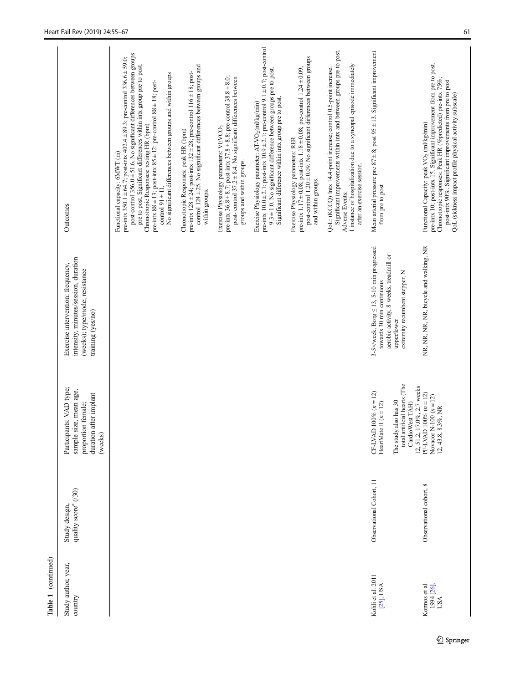| Table 1 (continued)                |                                                   |                                                                                                                                |                                                                                                                                                                         |                                                                                                                                                                                                                                                                                                                                                                                                                                                                                            |
|------------------------------------|---------------------------------------------------|--------------------------------------------------------------------------------------------------------------------------------|-------------------------------------------------------------------------------------------------------------------------------------------------------------------------|--------------------------------------------------------------------------------------------------------------------------------------------------------------------------------------------------------------------------------------------------------------------------------------------------------------------------------------------------------------------------------------------------------------------------------------------------------------------------------------------|
| Study author, year,<br>country     | quality score <sup>a</sup> (/30)<br>Study design, | Participants: VAD type;<br>sample size, mean age,<br>duration after implant<br>proportion female;<br>(weeks)                   | intensity, minutes/session, duration<br>Exercise intervention: frequency,<br>(weeks); type/mode; resistance<br>training (yes/no)                                        | Outcomes                                                                                                                                                                                                                                                                                                                                                                                                                                                                                   |
|                                    |                                                   |                                                                                                                                |                                                                                                                                                                         | post-control 356.0 ± 51.6. No significant differences between groups<br>pre-intx 350.1 $\pm$ 64.7; post-intx 402.4 $\pm$ 89.3; pre-control 336.6 $\pm$ 59.0;<br>pre to post. Significant differences within intx group pre to post.<br>No significant differences between groups and within groups<br>pre-intx $88 \pm 13$ ; post-intx $85 \pm 12$ ; pre-control $88 \pm 18$ ; post-<br>Chronotropic Responses: resting HR (bpm)<br>Functional capacity: 6MWT (m)<br>control $91 \pm 11$ . |
|                                    |                                                   |                                                                                                                                |                                                                                                                                                                         | control $124 \pm 25$ . No significant differences between groups and<br>pre-intx $128 \pm 24$ ; post-intx $132 \pm 28$ ; pre-control $116 \pm 18$ ; post-<br>Chronotropic Responses: peak HR (bpm)<br>within groups.                                                                                                                                                                                                                                                                       |
|                                    |                                                   |                                                                                                                                |                                                                                                                                                                         | pre-intx $36.8 \pm 8.7$ ; post-intx $37.8 \pm 8.8$ ; pre-control $38.8 \pm 8.0$ ;<br>post-control $37.2 \pm 8.4$ . No significant differences between<br>Exercise Physiology parameters: VEVCO2<br>groups and within groups.                                                                                                                                                                                                                                                               |
|                                    |                                                   |                                                                                                                                |                                                                                                                                                                         | pre-intx $10.0 \pm 2.1$ ; post-intx $10.9 \pm 2.1$ ; pre-control $9.1 \pm 0.7$ ; post-control<br>$9.3 \pm 1.0$ . No significant difference between groups pre to post.<br>Significant difference within intx group pre to post.<br>Exercise Physiology parameter: AT-VO <sub>2</sub> (ml/kg/min)                                                                                                                                                                                           |
|                                    |                                                   |                                                                                                                                |                                                                                                                                                                         | post-control 1.20 ±0.09. No significant differences between groups<br>pre-intx $1.17 \pm 0.08$ ; post-intx $1.18 \pm 0.08$ ; pre-control $1.24 \pm 0.09$ ;<br>Exercise Physiology parameters: RER<br>and within groups.                                                                                                                                                                                                                                                                    |
|                                    |                                                   |                                                                                                                                |                                                                                                                                                                         | Significant improvements within intx and between groups pre to post.<br>1 instance of hospitalization due to a syncopal episode immediately<br>QoL: (KCCQ) Intx 14.4-point increase; control 0.5-point increase.<br>after an exercise session.<br>Adverse Events:                                                                                                                                                                                                                          |
| Kohli et al. 2011<br>[25], USA     | Observational Cohort, 11                          | total artificial hearts (The<br>$CF-LVAD 100% (n = 12)$<br>The study also has 30<br>CardioWest TAH)<br>HeartMate II $(n = 12)$ | 3-5×/week, Borg $\leq$ 13, 5-10 min progressed<br>aerobic activity, 8 weeks, treadmill or<br>extremity recumbent stepper, N<br>towards 30 min continuous<br>upper/lower | Mean arterial pressure pre $87 \pm 8$ ; post $95 \pm 13$ . Significant improvement<br>from pre to post                                                                                                                                                                                                                                                                                                                                                                                     |
| Kormos et al.<br>1994 [26],<br>USA | Observational cohort, 8                           | 17.0%, 2.7 weeks<br>PF-LVAD $100\% (n = 12)$<br>$N-100 (n = 12)$<br>$8.3\%,$ NR<br>12, 51.2,<br>Novacor<br>12, 43.8,           | NR, NR, NR, NR, bicycle and walking, NR                                                                                                                                 | pre-intx 10; post-intx 15. Significant improvement from pre to post.<br>Chronotropic responses: Peak HR (%predicted) pre-intx 75%;<br>post-intx 90%. Significant improvements from pre to post<br>QoL (sickness impact profile physical activity subscale)<br>Functional Capacity: peak VO <sub>2</sub> (ml/kg/min)                                                                                                                                                                        |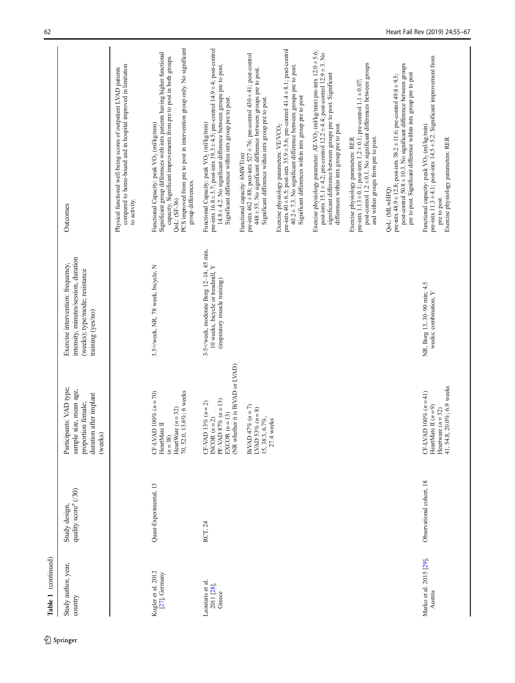| Table 1 (continued)                      |                                                   |                                                                                                                                                                                                           |                                                                                                                                  |                                                                                                                                                                                                                                                                                                                                                                                                                                                                                                                                                                                                                                                                                                                                                                                                                                                                                                                                                                                                                                                                                                                                                                                                                                                                                                                                                                                                                                                                      |
|------------------------------------------|---------------------------------------------------|-----------------------------------------------------------------------------------------------------------------------------------------------------------------------------------------------------------|----------------------------------------------------------------------------------------------------------------------------------|----------------------------------------------------------------------------------------------------------------------------------------------------------------------------------------------------------------------------------------------------------------------------------------------------------------------------------------------------------------------------------------------------------------------------------------------------------------------------------------------------------------------------------------------------------------------------------------------------------------------------------------------------------------------------------------------------------------------------------------------------------------------------------------------------------------------------------------------------------------------------------------------------------------------------------------------------------------------------------------------------------------------------------------------------------------------------------------------------------------------------------------------------------------------------------------------------------------------------------------------------------------------------------------------------------------------------------------------------------------------------------------------------------------------------------------------------------------------|
| Study author, year,<br>country           | quality score <sup>a</sup> (/30)<br>Study design, | Participants: VAD type;<br>sample size, mean age,<br>duration after implant<br>proportion female;<br>(weeks)                                                                                              | intensity, minutes/session, duration<br>Exercise intervention: frequency,<br>(weeks); type/mode; resistance<br>training (yes/no) | Outcomes                                                                                                                                                                                                                                                                                                                                                                                                                                                                                                                                                                                                                                                                                                                                                                                                                                                                                                                                                                                                                                                                                                                                                                                                                                                                                                                                                                                                                                                             |
|                                          |                                                   |                                                                                                                                                                                                           |                                                                                                                                  | compared to home-bound and in hospital improved in limitation<br>Physical functional well-being scores of outpatient LVAD patients<br>to activity.                                                                                                                                                                                                                                                                                                                                                                                                                                                                                                                                                                                                                                                                                                                                                                                                                                                                                                                                                                                                                                                                                                                                                                                                                                                                                                                   |
| Kugler et al. 2012<br>$[27]$ , Germany   | Quasi-Experimental, 13                            | 70, 52.0, 13.6%; 6 weeks<br>$100\% (n = 70)$<br>$(n = 32)$<br>HeartMate II<br>HeartWare<br>CF-LVAD<br>$(n = 38)$                                                                                          | 3.5×/week, NR, 78 week, bicycle, N                                                                                               | PCS improved from pre to post in intervention group only. No significant<br>Significant group differences with intx patients having higher functional<br>capacity. Significant improvements from pre to post in both groups.<br>Functional Capacity: peak VO <sub>2</sub> (ml/kg/min)<br>group differences.<br>QoL: (SF-36)                                                                                                                                                                                                                                                                                                                                                                                                                                                                                                                                                                                                                                                                                                                                                                                                                                                                                                                                                                                                                                                                                                                                          |
| Laoutaris et al.<br>2011 [28],<br>Greece | RCT, 24                                           | (NR whether it is BiVAD or LVAD)<br>PF-VAD 87% $(n = 13)$<br>$CF- VAD 13% (n = 2)$<br>BiVAD 47% $(n = 7)$<br>$LVAD 53% (n = 8)$<br>$i = 13$<br>INCOR $(n=2)$<br>15, 38.3, 6.7%,<br>27.4 weeks<br>EXCOR(n) | 3-5×/week, moderate Borg 12-14, 45 min,<br>10 weeks, bicycle or treadmill, Y<br>(inspiratory muscle training)                    | pre-intx $16.8 \pm 3.7$ ; post-intx $19.3 \pm 4.5$ ; pre-control $14.9 \pm 4$ ; post-control<br>pre-intx 40 $\pm$ 6.5; post-intx 35.9 $\pm$ 5.6; pre-control 41.4 $\pm$ 8.1; post-control<br>Exercise physiology parameter: $AT-VO2$ (ml/kg/min) pre-intx $12.0 \pm 5.6$ ;<br>post-intx 15.1 $\pm$ 4.2; pre-control 12.2 $\pm$ 4.4; post-control 12.9 $\pm$ 3. No<br>pre-intx $462 \pm 88$ ; post-intx $527 \pm 76$ ; pre-control $430 \pm 41$ ; post-control<br>post-control $1.2 \pm 0.1$ . No significant differences between groups<br>$14.8 \pm 4.2$ . No significant difference between groups pre to post.<br>$40.2 \pm 7.3$ . No significant difference between groups pre to post.<br>448 ± 55. No significant difference between groups pre to post.<br>significant difference between groups pre to post. Significant<br>pre-intx 48.9 ± 12.8; post-intx 38.2 ± 11.6; pre-control 49.8 ± 9.5;<br>pre-intx $1.13 \pm 0.1$ ; post-intx $1.2 \pm 0.1$ ; pre-control $1.1 \pm 0.07$ ;<br>Significant differences within intx group pre to post<br>Significant difference within intx group pre to post.<br>Significant difference within intx group pre to post.<br>Functional Capacity: peak VO <sub>2</sub> (ml/kg/min)<br>differences within intx group pre to post.<br>Exercise physiology parameters: VE/VCO <sub>2</sub><br>and within groups from pre to post.<br>Exercise physiology parameters: RER<br>Functional capacity: 6MWT(m)<br>QoL: (MLwHFQ) |
| Marko et al. 2015 [29],<br>Austria       | Observational cohort, 18                          | 41, 54.8, 20.0%; 6.9 weeks<br>$CF-LVAD 100% (n=41)$<br>HeartMate II $(n=9)$<br>$(n=32)$<br>Heartware                                                                                                      | NR, Borg 13, 30-90 min; 4.5<br>weeks; combination, Y                                                                             | pre-intx 11.3 $\pm$ 4.1; post-intx 14.5 $\pm$ 5.2. Significant improvement from<br>post-control 50.8 ± 10.3. No significant difference between groups<br>pre to post. Significant difference within intx group pre to post<br>Functional capacity: peak VO <sub>2</sub> (ml/kg/min)<br>Exercise physiology parameters: RER<br>pre to post.                                                                                                                                                                                                                                                                                                                                                                                                                                                                                                                                                                                                                                                                                                                                                                                                                                                                                                                                                                                                                                                                                                                           |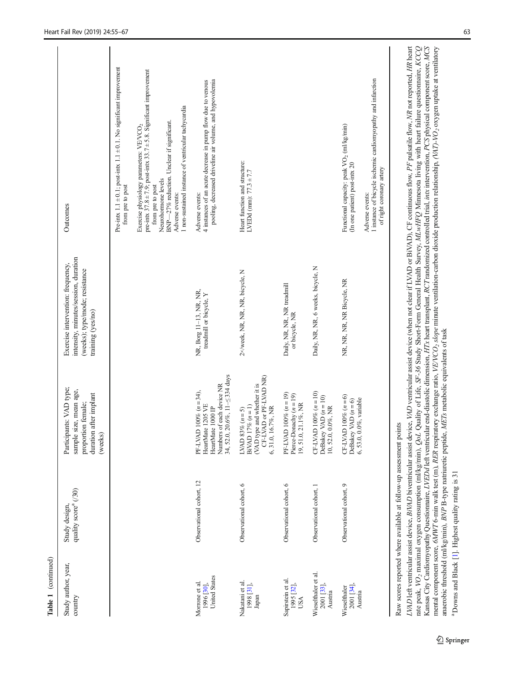| Table 1 (continued)                           |                                                                                                                                              |                                                                                                                                    |                                                                                                                                  |                                                                                                                                                                                                                                                                                                                                                                                                                                                                                                                                                                                                                                                                                                                                                                                                  |
|-----------------------------------------------|----------------------------------------------------------------------------------------------------------------------------------------------|------------------------------------------------------------------------------------------------------------------------------------|----------------------------------------------------------------------------------------------------------------------------------|--------------------------------------------------------------------------------------------------------------------------------------------------------------------------------------------------------------------------------------------------------------------------------------------------------------------------------------------------------------------------------------------------------------------------------------------------------------------------------------------------------------------------------------------------------------------------------------------------------------------------------------------------------------------------------------------------------------------------------------------------------------------------------------------------|
| Study author, year,<br>country                | quality score <sup>a</sup> (/30)<br>Study design,                                                                                            | Participants: VAD type;<br>sample size, mean age,<br>duration after implant<br>proportion female;<br>(weeks)                       | intensity, minutes/session, duration<br>Exercise intervention: frequency,<br>(weeks); type/mode; resistance<br>training (yes/no) | Outcomes                                                                                                                                                                                                                                                                                                                                                                                                                                                                                                                                                                                                                                                                                                                                                                                         |
|                                               |                                                                                                                                              |                                                                                                                                    |                                                                                                                                  | Pre-intx $1.1 \pm 0.1$ ; post-intx $1.1 \pm 0.1$ . No significant improvement<br>from pre to post                                                                                                                                                                                                                                                                                                                                                                                                                                                                                                                                                                                                                                                                                                |
|                                               |                                                                                                                                              |                                                                                                                                    |                                                                                                                                  | pre-intx $37.8 \pm 7.9$ ; post-intx $33.7 \pm 5.8$ . Significant improvement<br>1 non-sustained instance of ventricular tachycardia<br>BNP-27% reduction. Unclear if significant.<br>Exercise physiology parameters: VE/VCO <sub>2</sub><br>Neurohormone levels<br>from pre to post<br>Adverse events:                                                                                                                                                                                                                                                                                                                                                                                                                                                                                           |
| United States<br>Morrone et al.<br>1996 [30], | Observational cohort, 12                                                                                                                     | 34, 52.0, 20.6%, 11-≤334 days<br>Numbers of each device NR<br>$100\% (n=34),$<br>HeartMate 1205 VE<br>HeartMate 1000 IP<br>PF-LVAD | NR, Borg 11-13, NR, NR,<br>treadmill or bicycle, $\mathbf{{Y}}$                                                                  | pooling, decreased driveline air volume, and hypovolemia<br>4 instances of an acute decrease in pump flow due to venous<br>Adverse events:                                                                                                                                                                                                                                                                                                                                                                                                                                                                                                                                                                                                                                                       |
| Nakatani et al.<br>1998 [31],<br>Japan        | Observational cohort, 6                                                                                                                      | CF-LVAD or PF-LVAD NR)<br>(VAD type and whether it is<br>BiVAD 17% $(n=1)$<br>6, 31.0, 16.7%, NR<br>$LVAD 83% (n = 5)$             | 2×/week, NR, NR, NR, bicycle, N                                                                                                  | Heart function and structure:<br>LVEDd (mm): $77.3 \pm 7.7$                                                                                                                                                                                                                                                                                                                                                                                                                                                                                                                                                                                                                                                                                                                                      |
| Sapirstein et al.<br>1995 [32],<br>USA        | Observational cohort, 6                                                                                                                      | $PF-LVAD 100% (n=19)$<br>Pierce-Donachy $(n = 19)$<br>19, 51.0, 21.1%, NR                                                          | Daily, NR, NR, NR treadmill<br>or bicycle, NR                                                                                    |                                                                                                                                                                                                                                                                                                                                                                                                                                                                                                                                                                                                                                                                                                                                                                                                  |
| Wieselthaler et al.<br>2001 [33],<br>Austria  | Observational cohort, 1                                                                                                                      | CF-LVAD $100\%~(n=10)$<br>DeBakey VAD $(n = 10)$<br>$0.0\%$ , NR<br>10, 52.0,                                                      | Daily, NR, NR, 6 weeks, bicycle, N                                                                                               |                                                                                                                                                                                                                                                                                                                                                                                                                                                                                                                                                                                                                                                                                                                                                                                                  |
| 2001 [34],<br>Wieselthaler<br>Austria         | Observational cohort, 9                                                                                                                      | CF-LVAD $100\%$ $(n=6)$<br>6, 53.0, 0.0%, variable<br>DeBakey VAD $(n=6)$                                                          | NR, NR, NR, NR Bicycle, NR                                                                                                       | 1 instance of bicycle ischemic cardiomyopathy and infarction<br>Functional capacity: peak VO <sub>2</sub> (ml/kg/min)<br>(In one patient) post-intx 20<br>of right coronary artery<br>Adverse events:                                                                                                                                                                                                                                                                                                                                                                                                                                                                                                                                                                                            |
|                                               | Raw scores reported where available at follow-up assessment points<br>rate peak, VO <sub>2</sub> maximal oxygen consumption (ml/kg/min), QoL |                                                                                                                                    |                                                                                                                                  | Kansas City Cardiomyopathy Questionnaire, <i>LVEDd</i> left ventricular end-diastolic dimension, <i>HTx</i> heart transplant, <i>RCT</i> randomized controlled trial, <i>intx</i> intervention, <i>PCS</i> physical component score, <i>MCS</i><br>mental component score. $\delta MWT$ 6-min walk test (m). RER respiratory exchange ratio VEN/CO, slope minite ventilation-carbon dioxide production relations(NATO-oxygen untake at ventilatory<br>LVAD left ventricular assist device, BIVAD biventricular assist device, VAD ventricular assist device (when not clear if LVAD or BiVAD), CF continuous flow, PF pulsatile flow, VR not reported, HR heart<br>Quality of Life, SF-36 Study Short-Form General Health Survey, MLwHFQ Minnesota living with heart failure questionnaire, KCCQ |

mental component score, 6MWT 6-min walk test (m), RER respiratory exchange ratio, VE/VCO<sub>2</sub> slope minute ventilation-carbon dioxide production relationship, (VAT)-VO<sub>2</sub> oxygen uptake at ventilatory ž A The Component Source of the Common Source of the Common Section Section Section 2. The Section of the share of the share of the share of the share of the share of the share of the share of the share of the Section and B anaerobic threshold (ml/kg/min),  $BNP$  B-type natriuretic peptide,  $METs$  metabolic equivalents of task Downs and Black [[1](#page-10-0)]. Highest quality rating is 31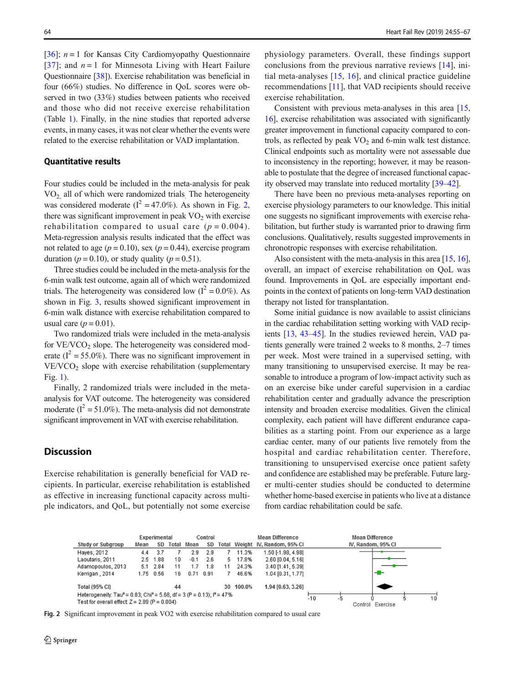[\[36](#page-12-0)];  $n = 1$  for Kansas City Cardiomyopathy Questionnaire [\[37\]](#page-12-0); and  $n = 1$  for Minnesota Living with Heart Failure Questionnaire [\[38](#page-12-0)]). Exercise rehabilitation was beneficial in four (66%) studies. No difference in QoL scores were observed in two (33%) studies between patients who received and those who did not receive exercise rehabilitation (Table [1](#page-4-0)). Finally, in the nine studies that reported adverse events, in many cases, it was not clear whether the events were related to the exercise rehabilitation or VAD implantation.

#### Quantitative results

Four studies could be included in the meta-analysis for peak  $VO<sub>2</sub>$  all of which were randomized trials. The heterogeneity was considered moderate  $(I^2 = 47.0\%)$ . As shown in Fig. 2, there was significant improvement in peak  $VO<sub>2</sub>$  with exercise rehabilitation compared to usual care  $(p = 0.004)$ . Meta-regression analysis results indicated that the effect was not related to age  $(p = 0.10)$ , sex  $(p = 0.44)$ , exercise program duration ( $p = 0.10$ ), or study quality ( $p = 0.51$ ).

Three studies could be included in the meta-analysis for the 6-min walk test outcome, again all of which were randomized trials. The heterogeneity was considered low  $(I^2 = 0.0\%)$ . As shown in Fig. [3,](#page-10-0) results showed significant improvement in 6-min walk distance with exercise rehabilitation compared to usual care  $(p = 0.01)$ .

Two randomized trials were included in the meta-analysis for  $VE/VCO<sub>2</sub>$  slope. The heterogeneity was considered moderate ( $I^2 = 55.0\%$ ). There was no significant improvement in  $VE/VCO<sub>2</sub>$  slope with exercise rehabilitation (supplementary Fig. 1).

Finally, 2 randomized trials were included in the metaanalysis for VAT outcome. The heterogeneity was considered moderate  $(I^2 = 51.0\%)$ . The meta-analysis did not demonstrate significant improvement in VAT with exercise rehabilitation.

# **Discussion**

Exercise rehabilitation is generally beneficial for VAD recipients. In particular, exercise rehabilitation is established as effective in increasing functional capacity across multiple indicators, and QoL, but potentially not some exercise physiology parameters. Overall, these findings support conclusions from the previous narrative reviews [[14](#page-11-0)], initial meta-analyses [[15,](#page-11-0) [16\]](#page-11-0), and clinical practice guideline recommendations [[11\]](#page-11-0), that VAD recipients should receive exercise rehabilitation.

Consistent with previous meta-analyses in this area [[15,](#page-11-0) [16\]](#page-11-0), exercise rehabilitation was associated with significantly greater improvement in functional capacity compared to controls, as reflected by peak  $VO<sub>2</sub>$  and 6-min walk test distance. Clinical endpoints such as mortality were not assessable due to inconsistency in the reporting; however, it may be reasonable to postulate that the degree of increased functional capacity observed may translate into reduced mortality [\[39](#page-12-0)–[42\]](#page-12-0).

There have been no previous meta-analyses reporting on exercise physiology parameters to our knowledge. This initial one suggests no significant improvements with exercise rehabilitation, but further study is warranted prior to drawing firm conclusions. Qualitatively, results suggested improvements in chronotropic responses with exercise rehabilitation.

Also consistent with the meta-analysis in this area [\[15](#page-11-0), [16\]](#page-11-0), overall, an impact of exercise rehabilitation on QoL was found. Improvements in QoL are especially important endpoints in the context of patients on long-term VAD destination therapy not listed for transplantation.

Some initial guidance is now available to assist clinicians in the cardiac rehabilitation setting working with VAD recipients [\[13,](#page-11-0) [43](#page-12-0)–[45\]](#page-12-0). In the studies reviewed herein, VAD patients generally were trained 2 weeks to 8 months, 2–7 times per week. Most were trained in a supervised setting, with many transitioning to unsupervised exercise. It may be reasonable to introduce a program of low-impact activity such as on an exercise bike under careful supervision in a cardiac rehabilitation center and gradually advance the prescription intensity and broaden exercise modalities. Given the clinical complexity, each patient will have different endurance capabilities as a starting point. From our experience as a large cardiac center, many of our patients live remotely from the hospital and cardiac rehabilitation center. Therefore, transitioning to unsupervised exercise once patient safety and confidence are established may be preferable. Future larger multi-center studies should be conducted to determine whether home-based exercise in patients who live at a distance from cardiac rehabilitation could be safe.



Fig. 2 Significant improvement in peak VO2 with exercise rehabilitation compared to usual care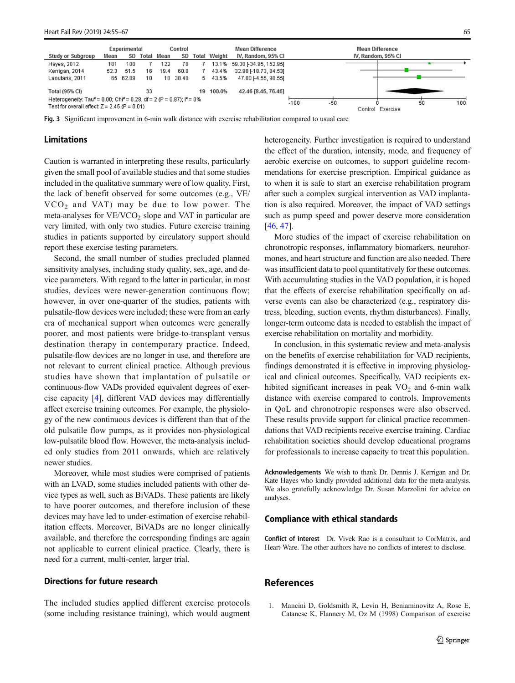<span id="page-10-0"></span>

Fig. 3 Significant improvement in 6-min walk distance with exercise rehabilitation compared to usual care

#### Limitations

Caution is warranted in interpreting these results, particularly given the small pool of available studies and that some studies included in the qualitative summary were of low quality. First, the lack of benefit observed for some outcomes (e.g., VE/  $VCO<sub>2</sub>$  and VAT) may be due to low power. The meta-analyses for  $VE/VCO<sub>2</sub>$  slope and VAT in particular are very limited, with only two studies. Future exercise training studies in patients supported by circulatory support should report these exercise testing parameters.

Second, the small number of studies precluded planned sensitivity analyses, including study quality, sex, age, and device parameters. With regard to the latter in particular, in most studies, devices were newer-generation continuous flow; however, in over one-quarter of the studies, patients with pulsatile-flow devices were included; these were from an early era of mechanical support when outcomes were generally poorer, and most patients were bridge-to-transplant versus destination therapy in contemporary practice. Indeed, pulsatile-flow devices are no longer in use, and therefore are not relevant to current clinical practice. Although previous studies have shown that implantation of pulsatile or continuous-flow VADs provided equivalent degrees of exercise capacity [\[4](#page-11-0)], different VAD devices may differentially affect exercise training outcomes. For example, the physiology of the new continuous devices is different than that of the old pulsatile flow pumps, as it provides non-physiological low-pulsatile blood flow. However, the meta-analysis included only studies from 2011 onwards, which are relatively newer studies.

Moreover, while most studies were comprised of patients with an LVAD, some studies included patients with other device types as well, such as BiVADs. These patients are likely to have poorer outcomes, and therefore inclusion of these devices may have led to under-estimation of exercise rehabilitation effects. Moreover, BiVADs are no longer clinically available, and therefore the corresponding findings are again not applicable to current clinical practice. Clearly, there is need for a current, multi-center, larger trial.

## Directions for future research

The included studies applied different exercise protocols (some including resistance training), which would augment heterogeneity. Further investigation is required to understand the effect of the duration, intensity, mode, and frequency of aerobic exercise on outcomes, to support guideline recommendations for exercise prescription. Empirical guidance as to when it is safe to start an exercise rehabilitation program after such a complex surgical intervention as VAD implantation is also required. Moreover, the impact of VAD settings such as pump speed and power deserve more consideration [\[46](#page-12-0), [47\]](#page-12-0).

More studies of the impact of exercise rehabilitation on chronotropic responses, inflammatory biomarkers, neurohormones, and heart structure and function are also needed. There was insufficient data to pool quantitatively for these outcomes. With accumulating studies in the VAD population, it is hoped that the effects of exercise rehabilitation specifically on adverse events can also be characterized (e.g., respiratory distress, bleeding, suction events, rhythm disturbances). Finally, longer-term outcome data is needed to establish the impact of exercise rehabilitation on mortality and morbidity.

In conclusion, in this systematic review and meta-analysis on the benefits of exercise rehabilitation for VAD recipients, findings demonstrated it is effective in improving physiological and clinical outcomes. Specifically, VAD recipients exhibited significant increases in peak  $VO<sub>2</sub>$  and 6-min walk distance with exercise compared to controls. Improvements in QoL and chronotropic responses were also observed. These results provide support for clinical practice recommendations that VAD recipients receive exercise training. Cardiac rehabilitation societies should develop educational programs for professionals to increase capacity to treat this population.

Acknowledgements We wish to thank Dr. Dennis J. Kerrigan and Dr. Kate Hayes who kindly provided additional data for the meta-analysis. We also gratefully acknowledge Dr. Susan Marzolini for advice on analyses.

#### Compliance with ethical standards

Conflict of interest Dr. Vivek Rao is a consultant to CorMatrix, and Heart-Ware. The other authors have no conflicts of interest to disclose.

# References

1. Mancini D, Goldsmith R, Levin H, Beniaminovitz A, Rose E, Catanese K, Flannery M, Oz M (1998) Comparison of exercise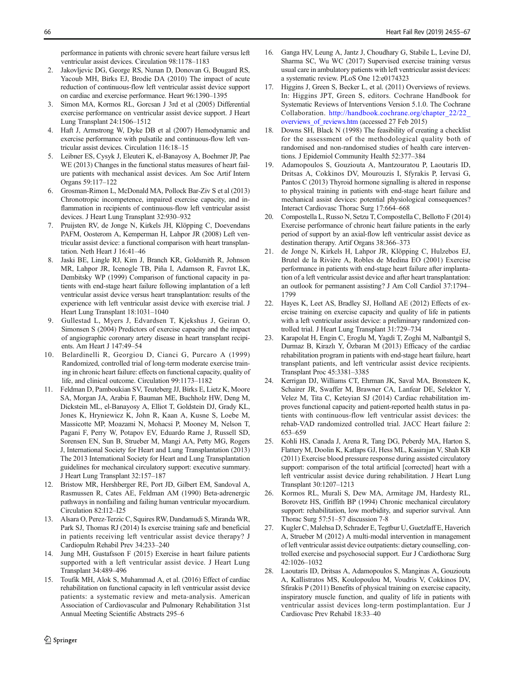<span id="page-11-0"></span>performance in patients with chronic severe heart failure versus left ventricular assist devices. Circulation 98:1178–1183

- 2. Jakovljevic DG, George RS, Nunan D, Donovan G, Bougard RS, Yacoub MH, Birks EJ, Brodie DA (2010) The impact of acute reduction of continuous-flow left ventricular assist device support on cardiac and exercise performance. Heart 96:1390–1395
- 3. Simon MA, Kormos RL, Gorcsan J 3rd et al (2005) Differential exercise performance on ventricular assist device support. J Heart Lung Transplant 24:1506–1512
- 4. Haft J, Armstrong W, Dyke DB et al (2007) Hemodynamic and exercise performance with pulsatile and continuous-flow left ventricular assist devices. Circulation 116:18–15
- 5. Leibner ES, Cysyk J, Eleuteri K, el-Banayosy A, Boehmer JP, Pae WE (2013) Changes in the functional status measures of heart failure patients with mechanical assist devices. Am Soc Artif Intern Organs 59:117–122
- 6. Grosman-Rimon L, McDonald MA, Pollock Bar-Ziv S et al (2013) Chronotropic incompetence, impaired exercise capacity, and inflammation in recipients of continuous-flow left ventricular assist devices. J Heart Lung Transplant 32:930–932
- 7. Pruijsten RV, de Jonge N, Kirkels JH, Klöpping C, Doevendans PAFM, Oosterom A, Kemperman H, Lahpor JR (2008) Left ventricular assist device: a functional comparison with heart transplantation. Neth Heart J 16:41–46
- 8. Jaski BE, Lingle RJ, Kim J, Branch KR, Goldsmith R, Johnson MR, Lahpor JR, Icenogle TB, Piña I, Adamson R, Favrot LK, Dembitsky WP (1999) Comparison of functional capacity in patients with end-stage heart failure following implantation of a left ventricular assist device versus heart transplantation: results of the experience with left ventricular assist device with exercise trial. J Heart Lung Transplant 18:1031–1040
- 9. Gullestad L, Myers J, Edvardsen T, Kjekshus J, Geiran O, Simonsen S (2004) Predictors of exercise capacity and the impact of angiographic coronary artery disease in heart transplant recipients. Am Heart J 147:49–54
- 10. Belardinelli R, Georgiou D, Cianci G, Purcaro A (1999) Randomized, controlled trial of long-term moderate exercise training in chronic heart failure: effects on functional capacity, quality of life, and clinical outcome. Circulation 99:1173–1182
- 11. Feldman D, Pamboukian SV, Teuteberg JJ, Birks E, Lietz K, Moore SA, Morgan JA, Arabia F, Bauman ME, Buchholz HW, Deng M, Dickstein ML, el-Banayosy A, Elliot T, Goldstein DJ, Grady KL, Jones K, Hryniewicz K, John R, Kaan A, Kusne S, Loebe M, Massicotte MP, Moazami N, Mohacsi P, Mooney M, Nelson T, Pagani F, Perry W, Potapov EV, Eduardo Rame J, Russell SD, Sorensen EN, Sun B, Strueber M, Mangi AA, Petty MG, Rogers J, International Society for Heart and Lung Transplantation (2013) The 2013 International Society for Heart and Lung Transplantation guidelines for mechanical circulatory support: executive summary. J Heart Lung Transplant 32:157–187
- 12. Bristow MR, Hershberger RE, Port JD, Gilbert EM, Sandoval A, Rasmussen R, Cates AE, Feldman AM (1990) Beta-adrenergic pathways in nonfailing and failing human ventricular myocardium. Circulation 82:I12–I25
- 13. Alsara O, Perez-Terzic C, Squires RW, Dandamudi S, Miranda WR, Park SJ, Thomas RJ (2014) Is exercise training safe and beneficial in patients receiving left ventricular assist device therapy? J Cardiopulm Rehabil Prev 34:233–240
- 14. Jung MH, Gustafsson F (2015) Exercise in heart failure patients supported with a left ventricular assist device. J Heart Lung Transplant 34:489–496
- 15. Toufik MH, Alok S, Muhammad A, et al. (2016) Effect of cardiac rehabilitation on functional capacity in left ventricular assist device patients: a systematic review and meta-analysis. American Association of Cardiovascular and Pulmonary Rehabilitation 31st Annual Meeting Scientific Abstracts 295–6
- 16. Ganga HV, Leung A, Jantz J, Choudhary G, Stabile L, Levine DJ, Sharma SC, Wu WC (2017) Supervised exercise training versus usual care in ambulatory patients with left ventricular assist devices: a systematic review. PLoS One 12:e0174323
- 17. Higgins J, Green S, Becker L, et al. (2011) Overviews of reviews. In: Higgins JPT, Green S, editors. Cochrane Handbook for Systematic Reviews of Interventions Version 5.1.0. The Cochrane Collaboration. [http://handbook.cochrane.org/chapter\\_22/22\\_](http://handbook.cochrane.org/chapter_22/22_overviews_of_reviews.htm) overviews of reviews.htm (accessed 27 Feb 2015)
- 18. Downs SH, Black N (1998) The feasibility of creating a checklist for the assessment of the methodological quality both of randomised and non-randomised studies of health care interventions. J Epidemiol Community Health 52:377–384
- 19. Adamopoulos S, Gouziouta A, Mantzouratou P, Laoutaris ID, Dritsas A, Cokkinos DV, Mourouzis I, Sfyrakis P, Iervasi G, Pantos C (2013) Thyroid hormone signalling is altered in response to physical training in patients with end-stage heart failure and mechanical assist devices: potential physiological consequences? Interact Cardiovasc Thorac Surg 17:664–668
- 20. Compostella L, Russo N, Setzu T, Compostella C, Bellotto F (2014) Exercise performance of chronic heart failure patients in the early period of support by an axial-flow left ventricular assist device as destination therapy. Artif Organs 38:366–373
- 21. de Jonge N, Kirkels H, Lahpor JR, Klöpping C, Hulzebos EJ, Brutel de la Rivière A, Robles de Medina EO (2001) Exercise performance in patients with end-stage heart failure after implantation of a left ventricular assist device and after heart transplantation: an outlook for permanent assisting? J Am Coll Cardiol 37:1794– 1799
- 22. Hayes K, Leet AS, Bradley SJ, Holland AE (2012) Effects of exercise training on exercise capacity and quality of life in patients with a left ventricular assist device: a preliminary randomized controlled trial. J Heart Lung Transplant 31:729–734
- 23. Karapolat H, Engin C, Eroglu M, Yagdi T, Zoghi M, Nalbantgil S, Durmaz B, Kirazlı Y, Özbaran M (2013) Efficacy of the cardiac rehabilitation program in patients with end-stage heart failure, heart transplant patients, and left ventricular assist device recipients. Transplant Proc 45:3381–3385
- 24. Kerrigan DJ, Williams CT, Ehrman JK, Saval MA, Bronsteen K, Schairer JR, Swaffer M, Brawner CA, Lanfear DE, Selektor Y, Velez M, Tita C, Keteyian SJ (2014) Cardiac rehabilitation improves functional capacity and patient-reported health status in patients with continuous-flow left ventricular assist devices: the rehab-VAD randomized controlled trial. JACC Heart failure 2: 653–659
- 25. Kohli HS, Canada J, Arena R, Tang DG, Peberdy MA, Harton S, Flattery M, Doolin K, Katlaps GJ, Hess ML, Kasirajan V, Shah KB (2011) Exercise blood pressure response during assisted circulatory support: comparison of the total artificial [corrected] heart with a left ventricular assist device during rehabilitation. J Heart Lung Transplant 30:1207–1213
- 26. Kormos RL, Murali S, Dew MA, Armitage JM, Hardesty RL, Borovetz HS, Griffith BP (1994) Chronic mechanical circulatory support: rehabilitation, low morbidity, and superior survival. Ann Thorac Surg 57:51–57 discussion 7-8
- 27. Kugler C, Malehsa D, Schrader E, Tegtbur U, Guetzlaff E, Haverich A, Strueber M (2012) A multi-modal intervention in management of left ventricular assist device outpatients: dietary counselling, controlled exercise and psychosocial support. Eur J Cardiothorac Surg 42:1026–1032
- 28. Laoutaris ID, Dritsas A, Adamopoulos S, Manginas A, Gouziouta A, Kallistratos MS, Koulopoulou M, Voudris V, Cokkinos DV, Sfirakis P (2011) Benefits of physical training on exercise capacity, inspiratory muscle function, and quality of life in patients with ventricular assist devices long-term postimplantation. Eur J Cardiovasc Prev Rehabil 18:33–40